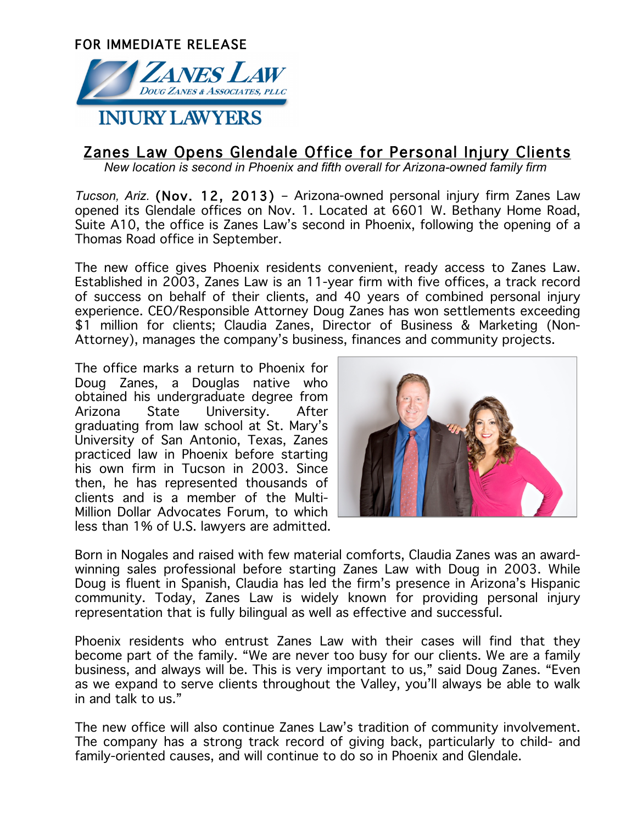

## Zanes Law Opens Glendale Office for Personal Injury Clients

*New location is second in Phoenix and fifth overall for Arizona-owned family firm*

*Tucson, Ariz.* (Nov. 12, 2013) – Arizona-owned personal injury firm Zanes Law opened its Glendale offices on Nov. 1. Located at 6601 W. Bethany Home Road, Suite A10, the office is Zanes Law's second in Phoenix, following the opening of a Thomas Road office in September.

The new office gives Phoenix residents convenient, ready access to Zanes Law. Established in 2003, Zanes Law is an 11-year firm with five offices, a track record of success on behalf of their clients, and 40 years of combined personal injury experience. CEO/Responsible Attorney Doug Zanes has won settlements exceeding \$1 million for clients; Claudia Zanes, Director of Business & Marketing (Non-Attorney), manages the company's business, finances and community projects.

The office marks a return to Phoenix for Doug Zanes, a Douglas native who obtained his undergraduate degree from Arizona State University. After graduating from law school at St. Mary's University of San Antonio, Texas, Zanes practiced law in Phoenix before starting his own firm in Tucson in 2003. Since then, he has represented thousands of clients and is a member of the Multi-Million Dollar Advocates Forum, to which less than 1% of U.S. lawyers are admitted.



Born in Nogales and raised with few material comforts, Claudia Zanes was an awardwinning sales professional before starting Zanes Law with Doug in 2003. While Doug is fluent in Spanish, Claudia has led the firm's presence in Arizona's Hispanic community. Today, Zanes Law is widely known for providing personal injury representation that is fully bilingual as well as effective and successful.

Phoenix residents who entrust Zanes Law with their cases will find that they become part of the family. "We are never too busy for our clients. We are a family business, and always will be. This is very important to us," said Doug Zanes. "Even as we expand to serve clients throughout the Valley, you'll always be able to walk in and talk to us."

The new office will also continue Zanes Law's tradition of community involvement. The company has a strong track record of giving back, particularly to child- and family-oriented causes, and will continue to do so in Phoenix and Glendale.